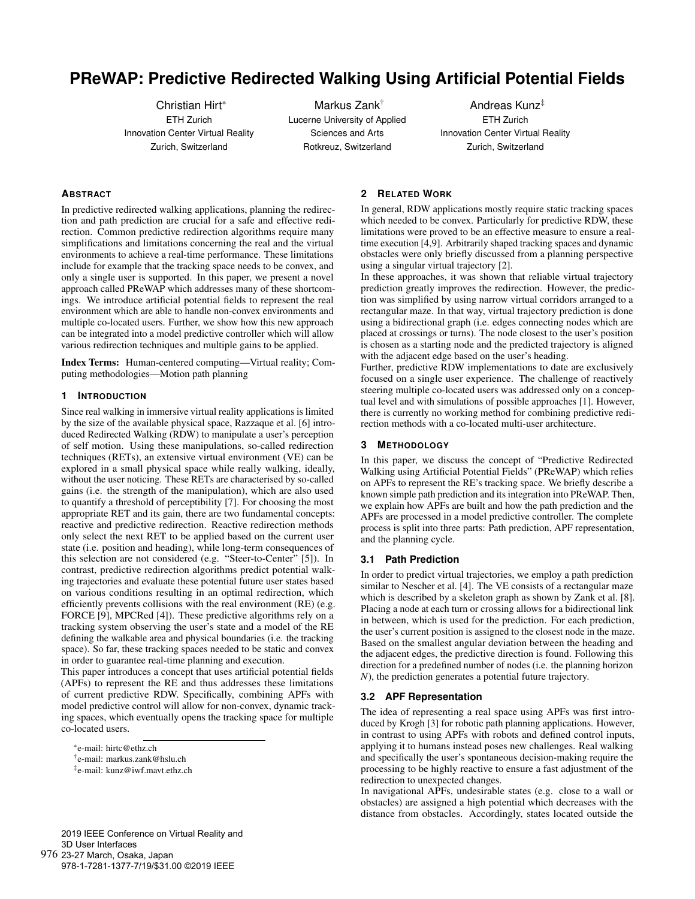# **PReWAP: Predictive Redirected Walking Using Artificial Potential Fields**

Christian Hirt\* ETH Zurich Innovation Center Virtual Reality Zurich, Switzerland

Markus Zank† Lucerne University of Applied Sciences and Arts Rotkreuz, Switzerland

Andreas Kunz‡ ETH Zurich Innovation Center Virtual Reality Zurich, Switzerland

# **ABSTRACT**

In predictive redirected walking applications, planning the redirection and path prediction are crucial for a safe and effective redirection. Common predictive redirection algorithms require many simplifications and limitations concerning the real and the virtual environments to achieve a real-time performance. These limitations include for example that the tracking space needs to be convex, and only a single user is supported. In this paper, we present a novel approach called PReWAP which addresses many of these shortcomings. We introduce artificial potential fields to represent the real environment which are able to handle non-convex environments and multiple co-located users. Further, we show how this new approach can be integrated into a model predictive controller which will allow various redirection techniques and multiple gains to be applied.

Index Terms: Human-centered computing—Virtual reality; Computing methodologies—Motion path planning

## **1 INTRODUCTION**

Since real walking in immersive virtual reality applications is limited by the size of the available physical space, Razzaque et al. [6] introduced Redirected Walking (RDW) to manipulate a user's perception of self motion. Using these manipulations, so-called redirection techniques (RETs), an extensive virtual environment (VE) can be explored in a small physical space while really walking, ideally, without the user noticing. These RETs are characterised by so-called gains (i.e. the strength of the manipulation), which are also used to quantify a threshold of perceptibility [7]. For choosing the most appropriate RET and its gain, there are two fundamental concepts: reactive and predictive redirection. Reactive redirection methods only select the next RET to be applied based on the current user state (i.e. position and heading), while long-term consequences of this selection are not considered (e.g. "Steer-to-Center" [5]). In contrast, predictive redirection algorithms predict potential walking trajectories and evaluate these potential future user states based on various conditions resulting in an optimal redirection, which efficiently prevents collisions with the real environment (RE) (e.g. FORCE [9], MPCRed [4]). These predictive algorithms rely on a tracking system observing the user's state and a model of the RE defining the walkable area and physical boundaries (i.e. the tracking space). So far, these tracking spaces needed to be static and convex in order to guarantee real-time planning and execution.

This paper introduces a concept that uses artificial potential fields (APFs) to represent the RE and thus addresses these limitations of current predictive RDW. Specifically, combining APFs with model predictive control will allow for non-convex, dynamic tracking spaces, which eventually opens the tracking space for multiple co-located users.

#### 2019 IEEE Conference on Virtual Reality and 3D User Interfaces 976 23-27 March, Osaka, Japan

978-1-7281-1377-7/19/\$31.00 ©2019 IEEE

## **2 RELATED WORK**

In general, RDW applications mostly require static tracking spaces which needed to be convex. Particularly for predictive RDW, these limitations were proved to be an effective measure to ensure a realtime execution [4,9]. Arbitrarily shaped tracking spaces and dynamic obstacles were only briefly discussed from a planning perspective using a singular virtual trajectory [2].

In these approaches, it was shown that reliable virtual trajectory prediction greatly improves the redirection. However, the prediction was simplified by using narrow virtual corridors arranged to a rectangular maze. In that way, virtual trajectory prediction is done using a bidirectional graph (i.e. edges connecting nodes which are placed at crossings or turns). The node closest to the user's position is chosen as a starting node and the predicted trajectory is aligned with the adjacent edge based on the user's heading.

Further, predictive RDW implementations to date are exclusively focused on a single user experience. The challenge of reactively steering multiple co-located users was addressed only on a conceptual level and with simulations of possible approaches [1]. However, there is currently no working method for combining predictive redirection methods with a co-located multi-user architecture.

#### **3 METHODOLOGY**

In this paper, we discuss the concept of "Predictive Redirected Walking using Artificial Potential Fields" (PReWAP) which relies on APFs to represent the RE's tracking space. We briefly describe a known simple path prediction and its integration into PReWAP. Then, we explain how APFs are built and how the path prediction and the APFs are processed in a model predictive controller. The complete process is split into three parts: Path prediction, APF representation, and the planning cycle.

#### **3.1 Path Prediction**

In order to predict virtual trajectories, we employ a path prediction similar to Nescher et al. [4]. The VE consists of a rectangular maze which is described by a skeleton graph as shown by Zank et al. [8]. Placing a node at each turn or crossing allows for a bidirectional link in between, which is used for the prediction. For each prediction, the user's current position is assigned to the closest node in the maze. Based on the smallest angular deviation between the heading and the adjacent edges, the predictive direction is found. Following this direction for a predefined number of nodes (i.e. the planning horizon *N*), the prediction generates a potential future trajectory.

#### **3.2 APF Representation**

The idea of representing a real space using APFs was first introduced by Krogh [3] for robotic path planning applications. However, in contrast to using APFs with robots and defined control inputs, applying it to humans instead poses new challenges. Real walking and specifically the user's spontaneous decision-making require the processing to be highly reactive to ensure a fast adjustment of the redirection to unexpected changes.

In navigational APFs, undesirable states (e.g. close to a wall or obstacles) are assigned a high potential which decreases with the distance from obstacles. Accordingly, states located outside the

<sup>\*</sup>e-mail: hirtc@ethz.ch

<sup>†</sup>e-mail: markus.zank@hslu.ch

<sup>‡</sup>e-mail: kunz@iwf.mavt.ethz.ch